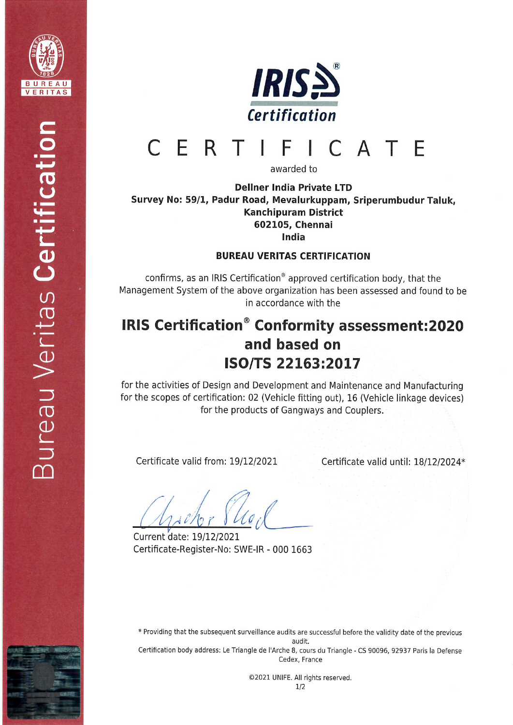



#### CERTI I C A T F F

awarded to

## Dellner India Private LTD Sutvey No: 59/1, Padur Road, Mevalurkuppam, Sriperumbudur Taluk, Kanchipuram District 602105, Chennai India

### BUREAU VERITAS CERTIFICATION

confirms, as an IRIS Certification<sup>®</sup> approved certification body, that the Management System of the above organization has been assessed and found to be in accordance with the

# IRIS Certification<sup>®</sup> Conformity assessment:2020 and based on ISO/TS 22163:2017

for the activities of Design and Development and Maintenance and Manufacturing for the scopes of certification: 02 (Vehicle fitting out), 16 (Vehicle linkage devices) for the products of Gangways and Couplers,

Certificate valid from: 19/12/2021

Certificate valid until: 18/12/2024\*

Current date: 19/12/2021 Certificate-Register-No: SWE-IR - 000 1663

\* Providing that the subsequent surveillance audits are successful before the validity date of the previous

audit.

Certification body address: Le Triangle de l'Arche 8, cours du Triangle - CS 90096, 92937 Paris la Defense Cedex, France

> ©2021 UNIFE. All rights reserved. 1/2